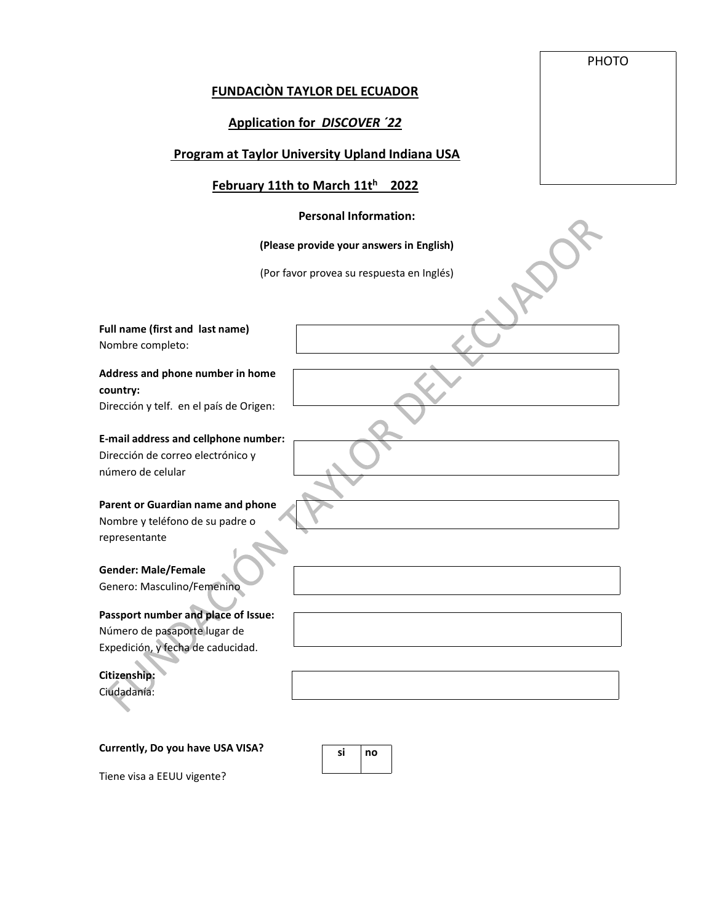## PHOTO

## **FUNDACIÒN TAYLOR DEL ECUADOR**

# **Application for** *DISCOVER ´22*

## **Program at Taylor University Upland Indiana USA**

# **February 11th to March 11t h 2022**

#### **Personal Information:**

## **(Please provide your answers in English)**

(Por favor provea su respuesta en Inglés)

**Full name (first and last name)**  Nombre completo:

**Address and phone number in home country:**  Dirección y telf. en el país de Origen:

**E-mail address and cellphone number:** Dirección de correo electrónico y número de celular

**Parent or Guardian name and phone** Nombre y teléfono de su padre o representante

**Gender: Male/Female**  Genero: Masculino/Femenino

**Passport number and place of Issue:**  Número de pasaporte lugar de Expedición, y fecha de caducidad.

**Citizenship:**  Ciudadanía:

**Currently, Do you have USA VISA?** 

**si no**

Tiene visa a EEUU vigente?

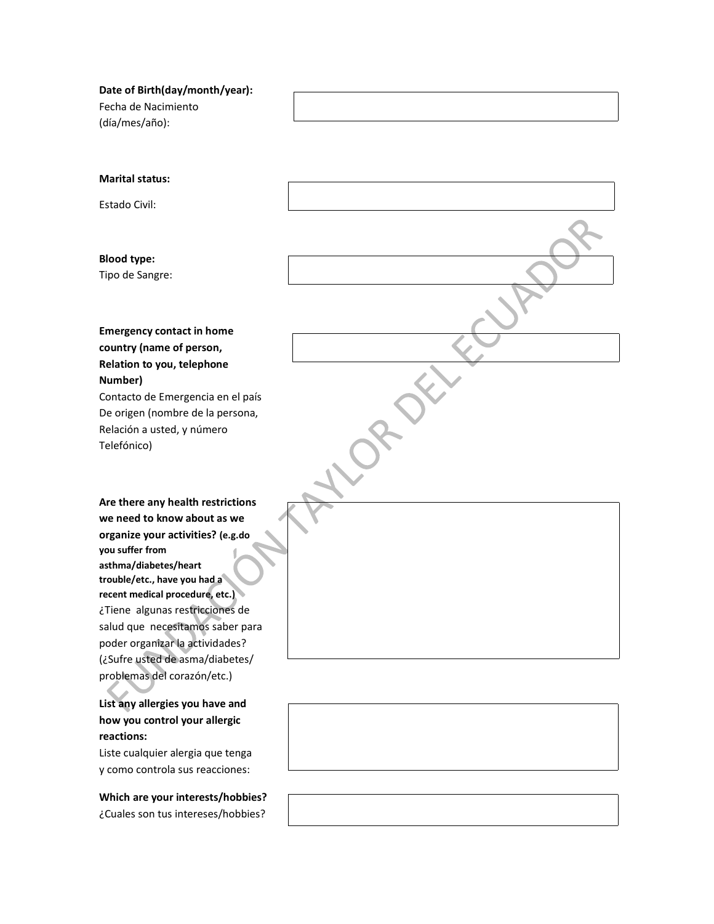**Date of Birth(day/month/year):**  Fecha de Nacimiento (día/mes/año):

**Marital status:** 

Estado Civil:

**Blood type:** Tipo de Sangre:

**Emergency contact in home country (name of person, Relation to you, telephone Number)**  Contacto de Emergencia en el país

De origen (nombre de la persona, Relación a usted, y número Telefónico)

**Are there any health restrictions we need to know about as we organize your activities? (e.g.do you suffer from asthma/diabetes/heart trouble/etc., have you had a recent medical procedure, etc.)**  ¿Tiene algunas restricciones de salud que necesitamos saber para poder organizar la actividades? (¿Sufre usted de asma/diabetes/ problemas del corazón/etc.)

**List any allergies you have and how you control your allergic reactions:** 

Liste cualquier alergia que tenga y como controla sus reacciones:

**Which are your interests/hobbies?**  ¿Cuales son tus intereses/hobbies?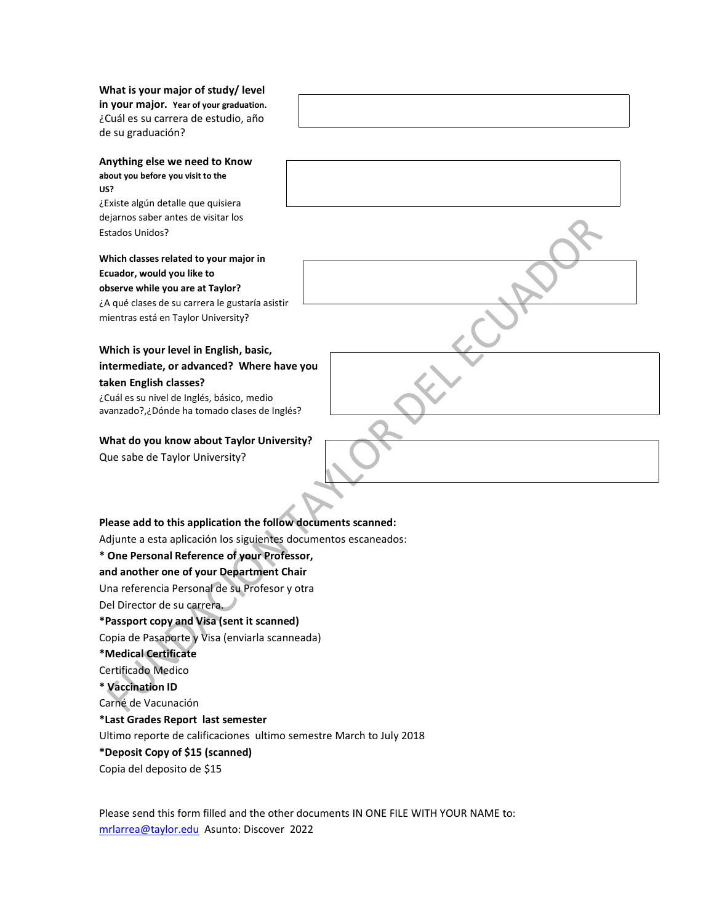**What is your major of study/ level in your major. Year of your graduation.**  ¿Cuál es su carrera de estudio, año de su graduación?

**Anything else we need to Know about you before you visit to the US?** 

¿Existe algún detalle que quisiera dejarnos saber antes de visitar los Estados Unidos?

**Which classes related to your major in Ecuador, would you like to observe while you are at Taylor?** ¿A qué clases de su carrera le gustaría asistir mientras está en Taylor University?

## **Which is your level in English, basic, intermediate, or advanced? Where have you taken English classes?**

¿Cuál es su nivel de Inglés, básico, medio avanzado?,¿Dónde ha tomado clases de Inglés?

## **What do you know about Taylor University?**

Que sabe de Taylor University?

# **Please add to this application the follow documents scanned:**

Adjunte a esta aplicación los siguientes documentos escaneados:

## **\* One Personal Reference of your Professor,**

**and another one of your Department Chair**

Una referencia Personal de su Profesor y otra

Del Director de su carrera.

## **\*Passport copy and Visa (sent it scanned)**

Copia de Pasaporte y Visa (enviarla scanneada)

## **\*Medical Certificate**

Certificado Medico

**\* Vaccination ID**

Carné de Vacunación

## **\*Last Grades Report last semester**

Ultimo reporte de calificaciones ultimo semestre March to July 2018

**\*Deposit Copy of \$15 (scanned)**

Copia del deposito de \$15

Please send this form filled and the other documents IN ONE FILE WITH YOUR NAME to: [mrlarrea@taylor.edu](mailto:mrlarrea@taylor.edu) Asunto: Discover 2022